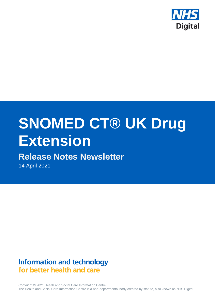

# **SNOMED CT® UK Drug Extension**

# **Release Notes Newsletter**

14 April 2021

# **Information and technology** for better health and care

Copyright © 2021 Health and Social Care Information Centre. The Health and Social Care Information Centre is a non-departmental body created by statute, also known as NHS Digital.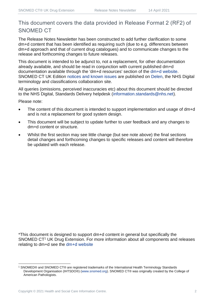#### This document covers the data provided in Release Format 2 (RF2) of SNOMED CT

The Release Notes Newsletter has been constructed to add further clarification to some dm+d content that has been identified as requiring such (due to e.g. differences between dm+d approach and that of current drug catalogues) and to communicate changes to the release and forthcoming changes to future releases.

This document is intended to be adjunct to, not a replacement, for other documentation already available, and should be read in conjunction with current published dm+d documentation available through the 'dm+d resources' section of the [dm+d website.](https://www.nhsbsa.nhs.uk/pharmacies-gp-practices-and-appliance-contractors/dictionary-medicines-and-devices-dmd) SNOMED CT UK Edition [notices and known issues](https://hscic.kahootz.com/connect.ti/t_c_home/view?objectId=14224752) are published on [Delen,](https://hscic.kahootz.com/connect.ti/t_c_home) the NHS Digital terminology and classifications collaboration site.

All queries (omissions, perceived inaccuracies etc) about this document should be directed to the NHS Digital, Standards Delivery helpdesk [\(information.standards@nhs.net\)](mailto:information.standards@nhs.net).

Please note:

- The content of this document is intended to support implementation and usage of dm+d and is not a replacement for good system design.
- This document will be subject to update further to user feedback and any changes to dm+d content or structure.
- Whilst the first section may see little change (but see note above) the final sections detail changes and forthcoming changes to specific releases and content will therefore be updated with each release.

\*This document is designed to support dm+d content in general but specifically the SNOMED CT<sup>1</sup> UK Drug Extension. For more information about all components and releases relating to dm+d see the [dm+d website](https://www.nhsbsa.nhs.uk/pharmacies-gp-practices-and-appliance-contractors/dictionary-medicines-and-devices-dmd)

<sup>1</sup> SNOMED® and SNOMED CT® are registered trademarks of the International Health Terminology Standards Development Organisation (IHTSDO®) [\(www.snomed.org\)](http://www.snomed.org/). SNOMED CT® was originally created by the College of American Pathologists.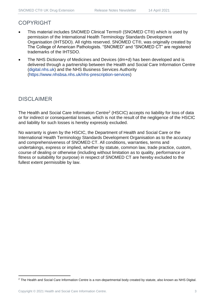#### COPYRIGHT

- This material includes SNOMED Clinical Terms® (SNOMED CT®) which is used by permission of the International Health Terminology Standards Development Organisation (IHTSDO). All rights reserved. SNOMED CT®, was originally created by The College of American Pathologists. "SNOMED" and "SNOMED CT" are registered trademarks of the IHTSDO.
- The NHS Dictionary of Medicines and Devices (dm+d) has been developed and is delivered through a partnership between the Health and Social Care Information Centre [\(digital.nhs.uk\)](https://digital.nhs.uk/) and the NHS Business Services Authority [\(https://www.nhsbsa.nhs.uk/nhs-prescription-services\)](https://www.nhsbsa.nhs.uk/nhs-prescription-services)

#### DISCLAIMER

The Health and Social Care Information Centre<sup>2</sup> (HSCIC) accepts no liability for loss of data or for indirect or consequential losses, which is not the result of the negligence of the HSCIC and liability for such losses is hereby expressly excluded.

No warranty is given by the HSCIC, the Department of Health and Social Care or the International Health Terminology Standards Development Organisation as to the accuracy and comprehensiveness of SNOMED CT. All conditions, warranties, terms and undertakings, express or implied, whether by statute, common law, trade practice, custom, course of dealing or otherwise (including without limitation as to quality, performance or fitness or suitability for purpose) in respect of SNOMED CT are hereby excluded to the fullest extent permissible by law.

<sup>&</sup>lt;sup>2</sup> The Health and Social Care Information Centre is a non-departmental body created by statute, also known as NHS Digital.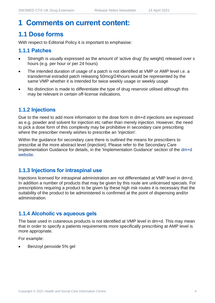## **1 Comments on current content:**

## **1.1 Dose forms**

With respect to Editorial Policy it is important to emphasise:

#### **1.1.1 Patches**

- Strength is usually expressed as the amount of 'active drug' (by weight) released over x hours (e.g. per hour or per 24 hours)
- The intended duration of usage of a patch is not identified at VMP or AMP level i.e. a transdermal estradiol patch releasing 50mcg/24hours would be represented by the same VMP whether it is intended for twice weekly usage or weekly usage
- No distinction is made to differentiate the type of drug reservoir utilised although this may be relevant in certain off-license indications.

#### **1.1.2 Injections**

Due to the need to add more information to the dose form in dm+d injections are expressed as e.g. powder and solvent for injection etc rather than merely injection. However, the need to pick a dose form of this complexity may be prohibitive in secondary care prescribing where the prescriber merely wishes to prescribe an 'injection'.

Within the guidance for secondary care there is outlined the means for prescribers to prescribe at the more abstract level (injection). Please refer to the Secondary Care Implementation Guidance for details, in the 'Implementation Guidance' section of the [dm+d](https://www.nhsbsa.nhs.uk/pharmacies-gp-practices-and-appliance-contractors/dictionary-medicines-and-devices-dmd)  [website.](https://www.nhsbsa.nhs.uk/pharmacies-gp-practices-and-appliance-contractors/dictionary-medicines-and-devices-dmd)

#### **1.1.3 Injections for intraspinal use**

Injections licensed for intraspinal administration are not differentiated at VMP level in dm+d. In addition a number of products that may be given by this route are unlicensed specials. For prescriptions requiring a product to be given by these high risk routes it is necessary that the suitability of the product to be administered is confirmed at the point of dispensing and/or administration.

#### **1.1.4 Alcoholic vs aqueous gels**

The base used in cutaneous products is not identified at VMP level in dm+d. This may mean that in order to specify a patients requirements more specifically prescribing at AMP level is more appropriate.

For example:

• Benzoyl peroxide 5% gel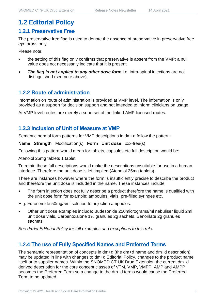## **1.2 Editorial Policy**

#### **1.2.1 Preservative Free**

The preservative free flag is used to denote the absence of preservative in preservative free *eye drops* only.

Please note:

- the setting of this flag only confirms that preservative is absent from the VMP; a null value does not necessarily indicate that it is present
- **The flag is not applied to any other dose form** i.e. intra-spinal injections are not distinguished (see note above).

#### **1.2.2 Route of administration**

Information on route of administration is provided at VMP level. The information is only provided as a support for decision support and not intended to inform clinicians on usage.

At VMP level routes are merely a superset of the linked AMP licensed routes.

#### **1.2.3 Inclusion of Unit of Measure at VMP**

Semantic normal form patterns for VMP descriptions in dm+d follow the pattern:

**Name Strength** Modification(s) **Form Unit dose** xxx-free(s)

Following this pattern would mean for tablets, capsules etc full description would be:

Atenolol 25mg tablets 1 tablet

To retain these full descriptions would make the descriptions unsuitable for use in a human interface. Therefore the unit dose is left implied (Atenolol 25mg tablets).

There are instances however where the form is insufficiently precise to describe the product and therefore the unit dose is included in the name. These instances include:

The form injection does not fully describe a product therefore the name is qualified with the unit dose form for example: ampoules, vials, pre-filled syringes etc.

E.g. Furosemide 50mg/5ml solution for injection ampoules.

• Other unit dose examples include: Budesonide 250micrograms/ml nebuliser liquid 2ml unit dose vials, Carbenoxalone 1% granules 2g sachets, Benorilate 2g granules sachets.

*See dm+d Editorial Policy for full examples and exceptions to this rule.*

#### **1.2.4 The use of Fully Specified Names and Preferred Terms**

The semantic representation of concepts in dm+d (the dm+d name and dm+d description) may be updated in line with changes to dm+d Editorial Policy, changes to the product name itself or to supplier names. Within the SNOMED CT UK Drug Extension the current dm+d derived description for the core concept classes of VTM, VMP, VMPP, AMP and AMPP becomes the Preferred Term so a change to the dm+d terms would cause the Preferred Term to be updated.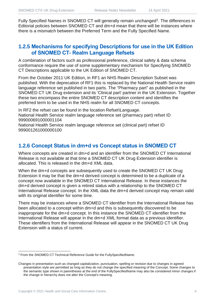Fully Specified Names in SNOMED CT will generally remain unchanged<sup>3</sup>. The differences in Editorial policies between SNOMED CT and dm+d mean that there will be instances where there is a mismatch between the Preferred Term and the Fully Specified Name.

#### **1.2.5 Mechanisms for specifying Descriptions for use in the UK Edition of SNOMED CT- Realm Language Refsets**

A combination of factors such as professional preference, clinical safety & data schema conformance require the use of some supplementary mechanism for Specifying SNOMED CT Descriptions applicable to the UK Edition of SNOMED CT.

From the October 2011 UK Edition, in RF1 an NHS Realm Description Subset was published. With the deprecation of RF1 this is replaced by the National Health Service realm language reference set published in two parts. The "Pharmacy part" as published in the SNOMED CT UK Drug extension and its 'Clinical part' partner in the UK Extension. Together these two encompass the entire SNOMED CT description content and identifies the preferred term to be used in the NHS realm for all SNOMED CT concepts.

In RF2 the refset can be found in the location Refset\Language. National Health Service realm language reference set (pharmacy part) refset ID 999000691000001104

National Health Service realm language reference set (clinical part) refset ID 999001261000000100

#### **1.2.6 Concept Status in dm+d vs Concept status in SNOMED CT**

Where concepts are created in dm+d and an identifier from the SNOMED CT International Release is not available at that time a SNOMED CT UK Drug Extension identifier is allocated. This is released in the dm+d XML data.

When the dm+d concepts are subsequently used to create the SNOMED CT UK Drug Extension it may be that the dm+d derived concept is determined to be a duplicate of a concept now available in the SNOMED CT International Release. In these instances the dm+d derived concept is given a retired status with a relationship to the SNOMED CT International Release concept. In the XML data the dm+d derived concept may remain valid with its original identifier for some time.

There may be instances where a SNOMED CT identifier from the International Release has been allocated to a concept within dm+d and this is subsequently discovered to be inappropriate for the dm+d concept. In this instance the SNOMED CT identifier from the International Release will appear in the dm+d XML format data as a previous identifier. These identifiers from the International Release will appear in the SNOMED CT UK Drug Extension with a status of current.

<sup>3</sup> From the SNOMED CT Technical Reference Guide for the FullySpecifiedName:

Changes in presentation such as changed capitalization, punctuation, spelling or revision due to changes in agreed presentation style are permitted as long as they do not change the specified meaning of the Concept. Some changes to the semantic type shown in parentheses at the end of the FullySpecifiedName may also be considered minor changes if the change in hierarchy does not alter the Concept's meaning.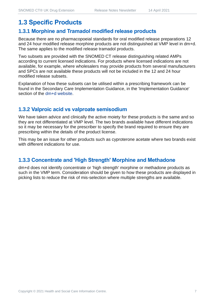## **1.3 Specific Products**

#### **1.3.1 Morphine and Tramadol modified release products**

Because there are no pharmacopoeial standards for oral modified release preparations 12 and 24 hour modified release morphine products are not distinguished at VMP level in dm+d. The same applies to the modified release tramadol products.

Two subsets are provided with the SNOMED CT release distinguishing related AMPs according to current licensed indications. For products where licensed indications are not available, for example, where wholesalers may provide products from several manufacturers and SPCs are not available these products will not be included in the 12 and 24 hour modified release subsets.

Explanation of how these subsets can be utilised within a prescribing framework can be found in the Secondary Care Implementation Guidance, in the 'Implementation Guidance' section of the [dm+d website.](https://www.nhsbsa.nhs.uk/pharmacies-gp-practices-and-appliance-contractors/dictionary-medicines-and-devices-dmd)

#### **1.3.2 Valproic acid vs valproate semisodium**

We have taken advice and clinically the active moiety for these products is the same and so they are not differentiated at VMP level. The two brands available have different indications so it may be necessary for the prescriber to specify the brand required to ensure they are prescribing within the details of the product license.

This may be an issue for other products such as cyproterone acetate where two brands exist with different indications for use.

#### **1.3.3 Concentrate and 'High Strength' Morphine and Methadone**

dm+d does not identify concentrate or 'high strength' morphine or methadone products as such in the VMP term. Consideration should be given to how these products are displayed in picking lists to reduce the risk of mis-selection where multiple strengths are available.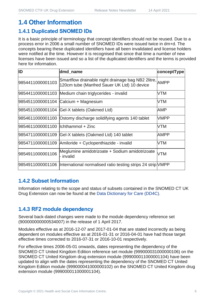## **1.4 Other Information**

#### **1.4.1 Duplicated SNOMED IDs**

It is a basic principle of terminology that concept identifiers should not be reused. Due to a process error in 2006 a small number of SNOMED IDs were issued twice in dm+d. The concepts bearing these duplicated identifiers have all been invalidated and license holders were notified at the time. However it is recognised that since that time a number of new licenses have been issued and so a list of the duplicated identifiers and the terms is provided here for information.

| ID                                   | dmd_name                                                                                               | conceptType |
|--------------------------------------|--------------------------------------------------------------------------------------------------------|-------------|
| 9854411000001103                     | Smartflow drainable night drainage bag NB2 2litre, AMPP<br>120cm tube (Manfred Sauer UK Ltd) 10 device |             |
|                                      | 9854411000001103 Medium chain triglycerides - invalid                                                  | VTM         |
|                                      | 9854511000001104 Calcium + Magnesium                                                                   | VTM         |
|                                      | 9854511000001104 Gel-X tablets (Oakmed Ltd)                                                            | AMP         |
|                                      | 9854611000001100 Ostomy discharge solidifying agents 140 tablet                                        | <b>VMPP</b> |
| 9854611000001100   Ichthammol + Zinc |                                                                                                        | VTM         |
|                                      | 9854711000001109 Gel-X tablets (Oakmed Ltd) 140 tablet                                                 | AMPP        |
|                                      | 9854711000001109 Amiloride + Cyclopenthiazide - invalid                                                | VTM         |
| 9854911000001106                     | Meglumine amidotrizoate + Sodium amidotrizoate<br>- invalid                                            | <b>VTM</b>  |
|                                      | 9854911000001106  International normalised ratio testing strips 24 strip NMPP                          |             |

#### **1.4.2 Subset Information**

Information relating to the scope and status of subsets contained in the SNOMED CT UK Drug Extension can now be found at the [Data Dictionary for Care \(DD4C\).](https://dd4c.digital.nhs.uk/dd4c/)

#### **1.4.3 RF2 module dependency**

Several back-dated changes were made to the module dependency reference set (900000000000534007) in the release of 1 April 2017.

Modules effective as at 2016-12-07 and 2017-01-04 that are stated incorrectly as being dependent on modules effective as at 2016-01-31 or 2016-04-01 have had those target effective times corrected to 2016-07-31 or 2016-10-01 respectively.

For effective times 2006-05-01 onwards, dates representing the dependency of the SNOMED CT United Kingdom Edition reference set module (999000031000000106) on the SNOMED CT United Kingdom drug extension module (999000011000001104) have been updated to align with the dates representing the dependency of the SNOMED CT United Kingdom Edition module (999000041000000102) on the SNOMED CT United Kingdom drug extension module (999000011000001104).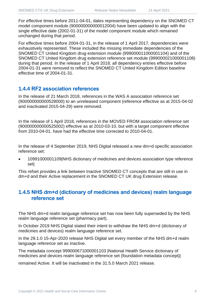For effective times before 2011-04-01, dates representing dependency on the SNOMED CT model component module (900000000000012004) have been updated to align with the single effective date (2002-01-31) of the model component module which remained unchanged during that period.

For effective times before 2004-01-31, in the release of 1 April 2017, dependencies were exhaustively represented. These included the missing immediate dependencies of the SNOMED CT United Kingdom drug extension module (999000011000001104) and of the SNOMED CT United Kingdom drug extension reference set module (999000021000001108) during that period. In the release of 1 April 2018, all dependency entries effective before 2004-01-31 were removed to reflect the SNOMED CT United Kingdom Edition baseline effective time of 2004-01-31.

#### **1.4.4 RF2 association references**

In the release of 21 March 2018, references in the WAS A association reference set (900000000000528000) to an unreleased component (reference effective as at 2015-04-02 and inactivated 2015-04-29) were removed.

In the release of 1 April 2018, references in the MOVED FROM association reference set (900000000000525002) effective as at 2010-03-10, but with a target component effective from 2010-04-01, have had the effective time corrected to 2010-04-01.

In the release of 4 September 2019, NHS Digital released a new dm+d specific association reference set:

• 10991000001109|NHS dictionary of medicines and devices association type reference set|

This refset provides a link between Inactive SNOMED CT concepts that are still in use in dm+d and their Active replacement in the SNOMED CT UK drug Extension release.

#### **1.4.5 NHS dm+d (dictionary of medicines and devices) realm language reference set**

The NHS dm+d realm language reference set has now been fully superseded by the NHS realm language reference set (pharmacy part).

In October 2019 NHS Digital stated their intent to withdraw the NHS dm+d (dictionary of medicines and devices) realm language reference set.

In the 29.1.0 15-Apr-2020 release NHS Digital set every member of the NHS dm+d realm language reference set as Inactive.

The metadata concept 999000671000001103 |National Health Service dictionary of medicines and devices realm language reference set (foundation metadata concept)|

remained Active. It will be inactivated in the 31.5.0 March 2021 release.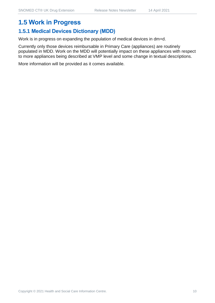## **1.5.1 Medical Devices Dictionary (MDD)**

Work is in progress on expanding the population of medical devices in dm+d.

Currently only those devices reimbursable in Primary Care (appliances) are routinely populated in MDD. Work on the MDD will potentially impact on these appliances with respect to more appliances being described at VMP level and some change in textual descriptions.

More information will be provided as it comes available.